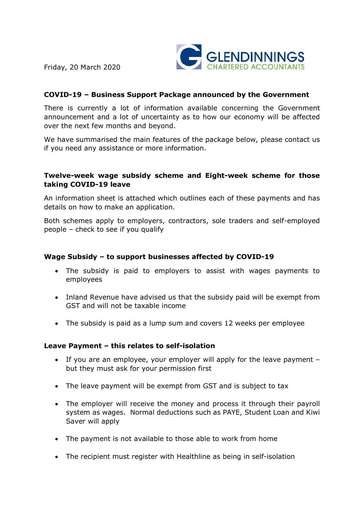Friday, 20 March 2020



# **COVID-19 – Business Support Package announced by the Government**

There is currently a lot of information available concerning the Government announcement and a lot of uncertainty as to how our economy will be affected over the next few months and beyond.

We have summarised the main features of the package below, please contact us if you need any assistance or more information.

#### **Twelve-week wage subsidy scheme and Eight-week scheme for those taking COVID-19 leave**

An information sheet is attached which outlines each of these payments and has details on how to make an application.

Both schemes apply to employers, contractors, sole traders and self-employed people – check to see if you qualify

### **Wage Subsidy – to support businesses affected by COVID-19**

- · The subsidy is paid to employers to assist with wages payments to employees
- · Inland Revenue have advised us that the subsidy paid will be exempt from GST and will not be taxable income
- · The subsidy is paid as a lump sum and covers 12 weeks per employee

#### **Leave Payment – this relates to self-isolation**

- · If you are an employee, your employer will apply for the leave payment but they must ask for your permission first
- · The leave payment will be exempt from GST and is subject to tax
- · The employer will receive the money and process it through their payroll system as wages. Normal deductions such as PAYE, Student Loan and Kiwi Saver will apply
- · The payment is not available to those able to work from home
- · The recipient must register with Healthline as being in self-isolation